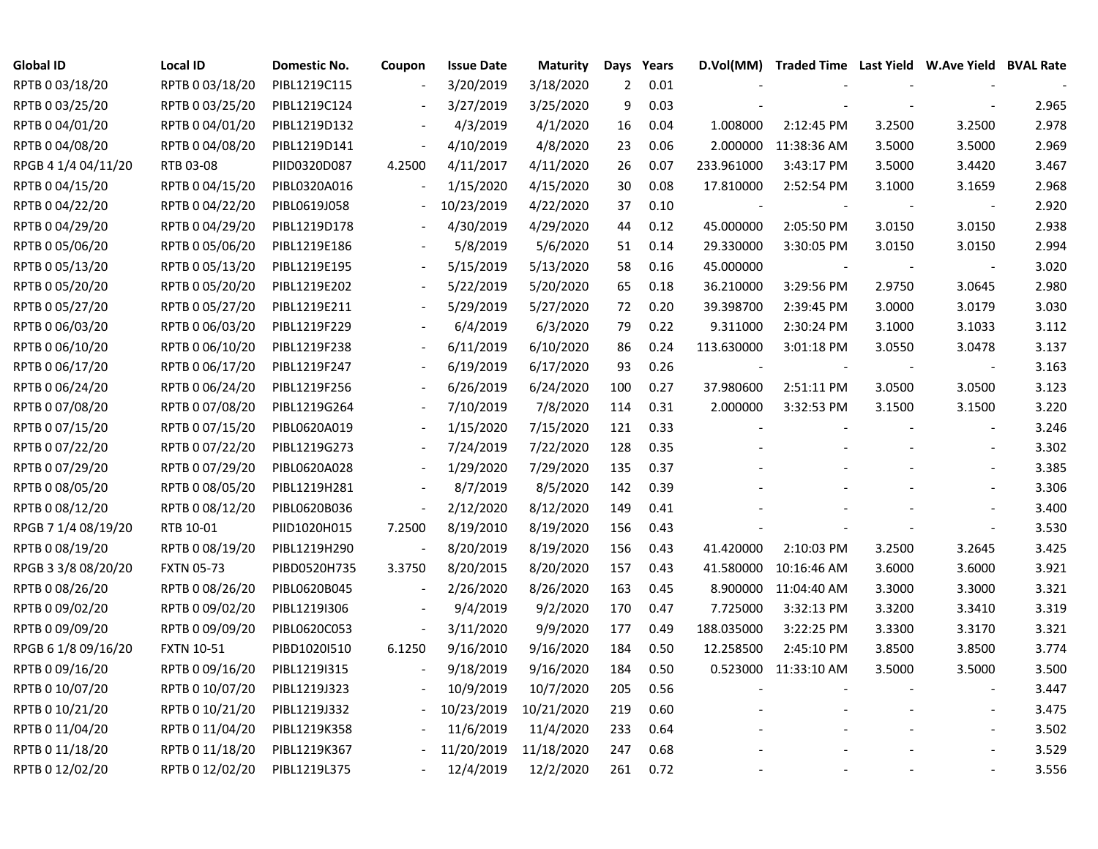| <b>Global ID</b>    | <b>Local ID</b>   | Domestic No. | Coupon                   | <b>Issue Date</b> | <b>Maturity</b> | Days | Years |            | D.Vol(MM) Traded Time Last Yield W.Ave Yield BVAL Rate |        |                          |       |
|---------------------|-------------------|--------------|--------------------------|-------------------|-----------------|------|-------|------------|--------------------------------------------------------|--------|--------------------------|-------|
| RPTB 0 03/18/20     | RPTB 0 03/18/20   | PIBL1219C115 |                          | 3/20/2019         | 3/18/2020       | 2    | 0.01  |            |                                                        |        |                          |       |
| RPTB 0 03/25/20     | RPTB 0 03/25/20   | PIBL1219C124 |                          | 3/27/2019         | 3/25/2020       | 9    | 0.03  |            |                                                        |        |                          | 2.965 |
| RPTB 0 04/01/20     | RPTB 0 04/01/20   | PIBL1219D132 |                          | 4/3/2019          | 4/1/2020        | 16   | 0.04  | 1.008000   | 2:12:45 PM                                             | 3.2500 | 3.2500                   | 2.978 |
| RPTB 0 04/08/20     | RPTB 0 04/08/20   | PIBL1219D141 | $\overline{\phantom{a}}$ | 4/10/2019         | 4/8/2020        | 23   | 0.06  | 2.000000   | 11:38:36 AM                                            | 3.5000 | 3.5000                   | 2.969 |
| RPGB 4 1/4 04/11/20 | RTB 03-08         | PIID0320D087 | 4.2500                   | 4/11/2017         | 4/11/2020       | 26   | 0.07  | 233.961000 | 3:43:17 PM                                             | 3.5000 | 3.4420                   | 3.467 |
| RPTB 0 04/15/20     | RPTB 0 04/15/20   | PIBL0320A016 |                          | 1/15/2020         | 4/15/2020       | 30   | 0.08  | 17.810000  | 2:52:54 PM                                             | 3.1000 | 3.1659                   | 2.968 |
| RPTB 0 04/22/20     | RPTB 0 04/22/20   | PIBL0619J058 | $\blacksquare$           | 10/23/2019        | 4/22/2020       | 37   | 0.10  |            |                                                        |        |                          | 2.920 |
| RPTB 0 04/29/20     | RPTB 0 04/29/20   | PIBL1219D178 |                          | 4/30/2019         | 4/29/2020       | 44   | 0.12  | 45.000000  | 2:05:50 PM                                             | 3.0150 | 3.0150                   | 2.938 |
| RPTB 0 05/06/20     | RPTB 0 05/06/20   | PIBL1219E186 |                          | 5/8/2019          | 5/6/2020        | 51   | 0.14  | 29.330000  | 3:30:05 PM                                             | 3.0150 | 3.0150                   | 2.994 |
| RPTB 0 05/13/20     | RPTB 0 05/13/20   | PIBL1219E195 |                          | 5/15/2019         | 5/13/2020       | 58   | 0.16  | 45.000000  |                                                        |        |                          | 3.020 |
| RPTB 0 05/20/20     | RPTB 0 05/20/20   | PIBL1219E202 |                          | 5/22/2019         | 5/20/2020       | 65   | 0.18  | 36.210000  | 3:29:56 PM                                             | 2.9750 | 3.0645                   | 2.980 |
| RPTB 0 05/27/20     | RPTB 0 05/27/20   | PIBL1219E211 |                          | 5/29/2019         | 5/27/2020       | 72   | 0.20  | 39.398700  | 2:39:45 PM                                             | 3.0000 | 3.0179                   | 3.030 |
| RPTB 0 06/03/20     | RPTB 0 06/03/20   | PIBL1219F229 |                          | 6/4/2019          | 6/3/2020        | 79   | 0.22  | 9.311000   | 2:30:24 PM                                             | 3.1000 | 3.1033                   | 3.112 |
| RPTB 0 06/10/20     | RPTB 0 06/10/20   | PIBL1219F238 |                          | 6/11/2019         | 6/10/2020       | 86   | 0.24  | 113.630000 | 3:01:18 PM                                             | 3.0550 | 3.0478                   | 3.137 |
| RPTB 0 06/17/20     | RPTB 0 06/17/20   | PIBL1219F247 |                          | 6/19/2019         | 6/17/2020       | 93   | 0.26  |            |                                                        |        |                          | 3.163 |
| RPTB 0 06/24/20     | RPTB 0 06/24/20   | PIBL1219F256 |                          | 6/26/2019         | 6/24/2020       | 100  | 0.27  | 37.980600  | 2:51:11 PM                                             | 3.0500 | 3.0500                   | 3.123 |
| RPTB 0 07/08/20     | RPTB 0 07/08/20   | PIBL1219G264 |                          | 7/10/2019         | 7/8/2020        | 114  | 0.31  | 2.000000   | 3:32:53 PM                                             | 3.1500 | 3.1500                   | 3.220 |
| RPTB 0 07/15/20     | RPTB 0 07/15/20   | PIBL0620A019 | $\overline{\phantom{a}}$ | 1/15/2020         | 7/15/2020       | 121  | 0.33  |            |                                                        |        |                          | 3.246 |
| RPTB 0 07/22/20     | RPTB 0 07/22/20   | PIBL1219G273 | $\sim$                   | 7/24/2019         | 7/22/2020       | 128  | 0.35  |            |                                                        |        |                          | 3.302 |
| RPTB 0 07/29/20     | RPTB 0 07/29/20   | PIBL0620A028 |                          | 1/29/2020         | 7/29/2020       | 135  | 0.37  |            |                                                        |        |                          | 3.385 |
| RPTB 0 08/05/20     | RPTB 0 08/05/20   | PIBL1219H281 |                          | 8/7/2019          | 8/5/2020        | 142  | 0.39  |            |                                                        |        |                          | 3.306 |
| RPTB 0 08/12/20     | RPTB 0 08/12/20   | PIBL0620B036 | $\overline{\phantom{a}}$ | 2/12/2020         | 8/12/2020       | 149  | 0.41  |            |                                                        |        |                          | 3.400 |
| RPGB 7 1/4 08/19/20 | RTB 10-01         | PIID1020H015 | 7.2500                   | 8/19/2010         | 8/19/2020       | 156  | 0.43  |            |                                                        |        | $\overline{\phantom{a}}$ | 3.530 |
| RPTB 0 08/19/20     | RPTB 0 08/19/20   | PIBL1219H290 | $\overline{\phantom{a}}$ | 8/20/2019         | 8/19/2020       | 156  | 0.43  | 41.420000  | 2:10:03 PM                                             | 3.2500 | 3.2645                   | 3.425 |
| RPGB 3 3/8 08/20/20 | <b>FXTN 05-73</b> | PIBD0520H735 | 3.3750                   | 8/20/2015         | 8/20/2020       | 157  | 0.43  | 41.580000  | 10:16:46 AM                                            | 3.6000 | 3.6000                   | 3.921 |
| RPTB 0 08/26/20     | RPTB 0 08/26/20   | PIBL0620B045 | $\overline{\phantom{a}}$ | 2/26/2020         | 8/26/2020       | 163  | 0.45  | 8.900000   | 11:04:40 AM                                            | 3.3000 | 3.3000                   | 3.321 |
| RPTB 0 09/02/20     | RPTB 0 09/02/20   | PIBL1219I306 |                          | 9/4/2019          | 9/2/2020        | 170  | 0.47  | 7.725000   | 3:32:13 PM                                             | 3.3200 | 3.3410                   | 3.319 |
| RPTB 0 09/09/20     | RPTB 0 09/09/20   | PIBL0620C053 |                          | 3/11/2020         | 9/9/2020        | 177  | 0.49  | 188.035000 | 3:22:25 PM                                             | 3.3300 | 3.3170                   | 3.321 |
| RPGB 6 1/8 09/16/20 | <b>FXTN 10-51</b> | PIBD1020I510 | 6.1250                   | 9/16/2010         | 9/16/2020       | 184  | 0.50  | 12.258500  | 2:45:10 PM                                             | 3.8500 | 3.8500                   | 3.774 |
| RPTB 0 09/16/20     | RPTB 0 09/16/20   | PIBL1219I315 |                          | 9/18/2019         | 9/16/2020       | 184  | 0.50  |            | 0.523000 11:33:10 AM                                   | 3.5000 | 3.5000                   | 3.500 |
| RPTB 0 10/07/20     | RPTB 0 10/07/20   | PIBL1219J323 |                          | 10/9/2019         | 10/7/2020       | 205  | 0.56  |            |                                                        |        |                          | 3.447 |
| RPTB 0 10/21/20     | RPTB 0 10/21/20   | PIBL1219J332 | $\overline{\phantom{a}}$ | 10/23/2019        | 10/21/2020      | 219  | 0.60  |            |                                                        |        | $\overline{\phantom{a}}$ | 3.475 |
| RPTB 0 11/04/20     | RPTB 0 11/04/20   | PIBL1219K358 |                          | 11/6/2019         | 11/4/2020       | 233  | 0.64  |            |                                                        |        |                          | 3.502 |
| RPTB 0 11/18/20     | RPTB 0 11/18/20   | PIBL1219K367 |                          | 11/20/2019        | 11/18/2020      | 247  | 0.68  |            |                                                        |        |                          | 3.529 |
| RPTB 0 12/02/20     | RPTB 0 12/02/20   | PIBL1219L375 |                          | 12/4/2019         | 12/2/2020       | 261  | 0.72  |            |                                                        |        |                          | 3.556 |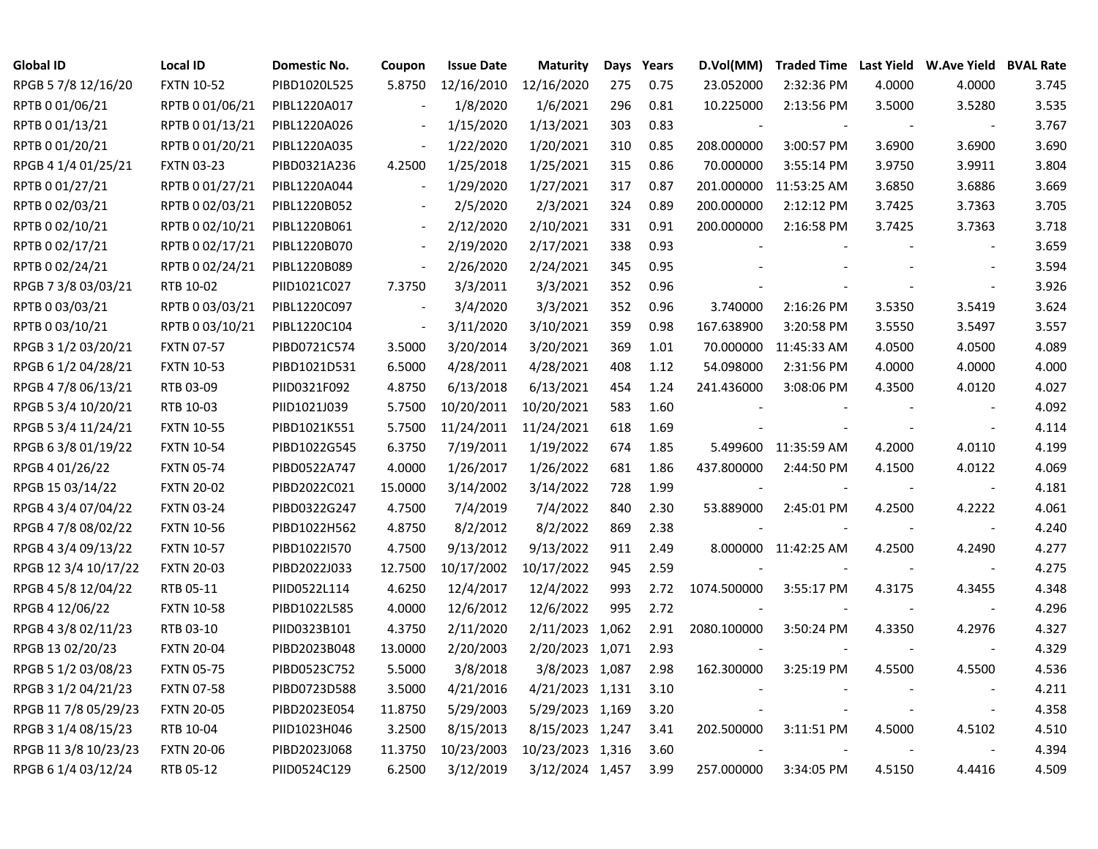| <b>Global ID</b>     | <b>Local ID</b>   | Domestic No. | Coupon                   | <b>Issue Date</b> | <b>Maturity</b>  | Days | Years | D.Vol(MM)   | <b>Traded Time</b>   |        | Last Yield W.Ave Yield BVAL Rate |       |
|----------------------|-------------------|--------------|--------------------------|-------------------|------------------|------|-------|-------------|----------------------|--------|----------------------------------|-------|
| RPGB 5 7/8 12/16/20  | <b>FXTN 10-52</b> | PIBD1020L525 | 5.8750                   | 12/16/2010        | 12/16/2020       | 275  | 0.75  | 23.052000   | 2:32:36 PM           | 4.0000 | 4.0000                           | 3.745 |
| RPTB 0 01/06/21      | RPTB 0 01/06/21   | PIBL1220A017 |                          | 1/8/2020          | 1/6/2021         | 296  | 0.81  | 10.225000   | 2:13:56 PM           | 3.5000 | 3.5280                           | 3.535 |
| RPTB 0 01/13/21      | RPTB 0 01/13/21   | PIBL1220A026 |                          | 1/15/2020         | 1/13/2021        | 303  | 0.83  |             |                      |        | $\overline{\phantom{a}}$         | 3.767 |
| RPTB 0 01/20/21      | RPTB 0 01/20/21   | PIBL1220A035 | $\blacksquare$           | 1/22/2020         | 1/20/2021        | 310  | 0.85  | 208.000000  | 3:00:57 PM           | 3.6900 | 3.6900                           | 3.690 |
| RPGB 4 1/4 01/25/21  | <b>FXTN 03-23</b> | PIBD0321A236 | 4.2500                   | 1/25/2018         | 1/25/2021        | 315  | 0.86  | 70.000000   | 3:55:14 PM           | 3.9750 | 3.9911                           | 3.804 |
| RPTB 0 01/27/21      | RPTB 0 01/27/21   | PIBL1220A044 | $\overline{\phantom{a}}$ | 1/29/2020         | 1/27/2021        | 317  | 0.87  | 201.000000  | 11:53:25 AM          | 3.6850 | 3.6886                           | 3.669 |
| RPTB 0 02/03/21      | RPTB 0 02/03/21   | PIBL1220B052 |                          | 2/5/2020          | 2/3/2021         | 324  | 0.89  | 200.000000  | 2:12:12 PM           | 3.7425 | 3.7363                           | 3.705 |
| RPTB 0 02/10/21      | RPTB 0 02/10/21   | PIBL1220B061 | $\blacksquare$           | 2/12/2020         | 2/10/2021        | 331  | 0.91  | 200.000000  | 2:16:58 PM           | 3.7425 | 3.7363                           | 3.718 |
| RPTB 0 02/17/21      | RPTB 0 02/17/21   | PIBL1220B070 |                          | 2/19/2020         | 2/17/2021        | 338  | 0.93  |             |                      |        | $\overline{\phantom{a}}$         | 3.659 |
| RPTB 0 02/24/21      | RPTB 0 02/24/21   | PIBL1220B089 | $\overline{\phantom{a}}$ | 2/26/2020         | 2/24/2021        | 345  | 0.95  |             |                      |        | $\blacksquare$                   | 3.594 |
| RPGB 7 3/8 03/03/21  | RTB 10-02         | PIID1021C027 | 7.3750                   | 3/3/2011          | 3/3/2021         | 352  | 0.96  |             |                      |        | $\sim$                           | 3.926 |
| RPTB 0 03/03/21      | RPTB 0 03/03/21   | PIBL1220C097 | $\sim$                   | 3/4/2020          | 3/3/2021         | 352  | 0.96  | 3.740000    | 2:16:26 PM           | 3.5350 | 3.5419                           | 3.624 |
| RPTB 0 03/10/21      | RPTB 0 03/10/21   | PIBL1220C104 | $\overline{\phantom{a}}$ | 3/11/2020         | 3/10/2021        | 359  | 0.98  | 167.638900  | 3:20:58 PM           | 3.5550 | 3.5497                           | 3.557 |
| RPGB 3 1/2 03/20/21  | <b>FXTN 07-57</b> | PIBD0721C574 | 3.5000                   | 3/20/2014         | 3/20/2021        | 369  | 1.01  | 70.000000   | 11:45:33 AM          | 4.0500 | 4.0500                           | 4.089 |
| RPGB 6 1/2 04/28/21  | <b>FXTN 10-53</b> | PIBD1021D531 | 6.5000                   | 4/28/2011         | 4/28/2021        | 408  | 1.12  | 54.098000   | 2:31:56 PM           | 4.0000 | 4.0000                           | 4.000 |
| RPGB 4 7/8 06/13/21  | RTB 03-09         | PIID0321F092 | 4.8750                   | 6/13/2018         | 6/13/2021        | 454  | 1.24  | 241.436000  | 3:08:06 PM           | 4.3500 | 4.0120                           | 4.027 |
| RPGB 5 3/4 10/20/21  | RTB 10-03         | PIID1021J039 | 5.7500                   | 10/20/2011        | 10/20/2021       | 583  | 1.60  |             |                      |        |                                  | 4.092 |
| RPGB 5 3/4 11/24/21  | <b>FXTN 10-55</b> | PIBD1021K551 | 5.7500                   | 11/24/2011        | 11/24/2021       | 618  | 1.69  |             |                      |        | $\sim$                           | 4.114 |
| RPGB 6 3/8 01/19/22  | <b>FXTN 10-54</b> | PIBD1022G545 | 6.3750                   | 7/19/2011         | 1/19/2022        | 674  | 1.85  |             | 5.499600 11:35:59 AM | 4.2000 | 4.0110                           | 4.199 |
| RPGB 4 01/26/22      | <b>FXTN 05-74</b> | PIBD0522A747 | 4.0000                   | 1/26/2017         | 1/26/2022        | 681  | 1.86  | 437.800000  | 2:44:50 PM           | 4.1500 | 4.0122                           | 4.069 |
| RPGB 15 03/14/22     | <b>FXTN 20-02</b> | PIBD2022C021 | 15.0000                  | 3/14/2002         | 3/14/2022        | 728  | 1.99  |             |                      |        | $\blacksquare$                   | 4.181 |
| RPGB 4 3/4 07/04/22  | <b>FXTN 03-24</b> | PIBD0322G247 | 4.7500                   | 7/4/2019          | 7/4/2022         | 840  | 2.30  | 53.889000   | 2:45:01 PM           | 4.2500 | 4.2222                           | 4.061 |
| RPGB 4 7/8 08/02/22  | <b>FXTN 10-56</b> | PIBD1022H562 | 4.8750                   | 8/2/2012          | 8/2/2022         | 869  | 2.38  |             |                      |        | $\blacksquare$                   | 4.240 |
| RPGB 4 3/4 09/13/22  | <b>FXTN 10-57</b> | PIBD1022I570 | 4.7500                   | 9/13/2012         | 9/13/2022        | 911  | 2.49  |             | 8.000000 11:42:25 AM | 4.2500 | 4.2490                           | 4.277 |
| RPGB 12 3/4 10/17/22 | <b>FXTN 20-03</b> | PIBD2022J033 | 12.7500                  | 10/17/2002        | 10/17/2022       | 945  | 2.59  |             |                      |        | $\blacksquare$                   | 4.275 |
| RPGB 4 5/8 12/04/22  | RTB 05-11         | PIID0522L114 | 4.6250                   | 12/4/2017         | 12/4/2022        | 993  | 2.72  | 1074.500000 | 3:55:17 PM           | 4.3175 | 4.3455                           | 4.348 |
| RPGB 4 12/06/22      | <b>FXTN 10-58</b> | PIBD1022L585 | 4.0000                   | 12/6/2012         | 12/6/2022        | 995  | 2.72  |             |                      |        | $\sim$                           | 4.296 |
| RPGB 4 3/8 02/11/23  | RTB 03-10         | PIID0323B101 | 4.3750                   | 2/11/2020         | 2/11/2023 1,062  |      | 2.91  | 2080.100000 | 3:50:24 PM           | 4.3350 | 4.2976                           | 4.327 |
| RPGB 13 02/20/23     | <b>FXTN 20-04</b> | PIBD2023B048 | 13.0000                  | 2/20/2003         | 2/20/2023 1,071  |      | 2.93  |             |                      |        |                                  | 4.329 |
| RPGB 5 1/2 03/08/23  | <b>FXTN 05-75</b> | PIBD0523C752 | 5.5000                   | 3/8/2018          | 3/8/2023 1,087   |      | 2.98  | 162.300000  | 3:25:19 PM           | 4.5500 | 4.5500                           | 4.536 |
| RPGB 3 1/2 04/21/23  | <b>FXTN 07-58</b> | PIBD0723D588 | 3.5000                   | 4/21/2016         | 4/21/2023 1,131  |      | 3.10  |             |                      |        | $\sim$                           | 4.211 |
| RPGB 117/8 05/29/23  | <b>FXTN 20-05</b> | PIBD2023E054 | 11.8750                  | 5/29/2003         | 5/29/2023 1,169  |      | 3.20  |             |                      |        | $\overline{\phantom{a}}$         | 4.358 |
| RPGB 3 1/4 08/15/23  | RTB 10-04         | PIID1023H046 | 3.2500                   | 8/15/2013         | 8/15/2023 1,247  |      | 3.41  | 202.500000  | 3:11:51 PM           | 4.5000 | 4.5102                           | 4.510 |
| RPGB 11 3/8 10/23/23 | <b>FXTN 20-06</b> | PIBD2023J068 | 11.3750                  | 10/23/2003        | 10/23/2023 1,316 |      | 3.60  |             |                      |        |                                  | 4.394 |
| RPGB 6 1/4 03/12/24  | RTB 05-12         | PIID0524C129 | 6.2500                   | 3/12/2019         | 3/12/2024 1,457  |      | 3.99  | 257.000000  | 3:34:05 PM           | 4.5150 | 4.4416                           | 4.509 |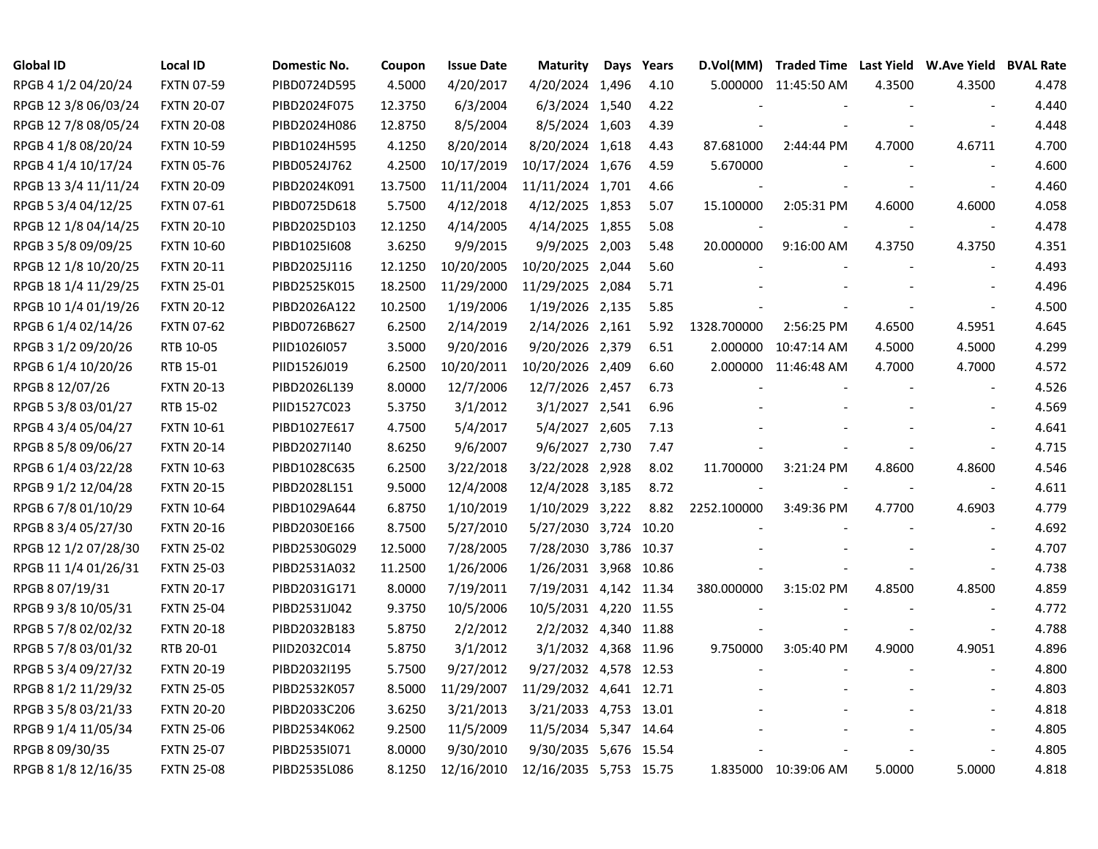| <b>Global ID</b>     | <b>Local ID</b>   | <b>Domestic No.</b> | Coupon  | <b>Issue Date</b> | <b>Maturity</b>        | Days | Years | D.Vol(MM)   | Traded Time Last Yield W.Ave Yield BVAL Rate |        |                          |       |
|----------------------|-------------------|---------------------|---------|-------------------|------------------------|------|-------|-------------|----------------------------------------------|--------|--------------------------|-------|
| RPGB 4 1/2 04/20/24  | <b>FXTN 07-59</b> | PIBD0724D595        | 4.5000  | 4/20/2017         | 4/20/2024 1,496        |      | 4.10  |             | 5.000000 11:45:50 AM                         | 4.3500 | 4.3500                   | 4.478 |
| RPGB 12 3/8 06/03/24 | <b>FXTN 20-07</b> | PIBD2024F075        | 12.3750 | 6/3/2004          | 6/3/2024 1,540         |      | 4.22  |             |                                              |        |                          | 4.440 |
| RPGB 12 7/8 08/05/24 | <b>FXTN 20-08</b> | PIBD2024H086        | 12.8750 | 8/5/2004          | 8/5/2024 1,603         |      | 4.39  |             |                                              |        |                          | 4.448 |
| RPGB 4 1/8 08/20/24  | <b>FXTN 10-59</b> | PIBD1024H595        | 4.1250  | 8/20/2014         | 8/20/2024 1,618        |      | 4.43  | 87.681000   | 2:44:44 PM                                   | 4.7000 | 4.6711                   | 4.700 |
| RPGB 4 1/4 10/17/24  | <b>FXTN 05-76</b> | PIBD0524J762        | 4.2500  | 10/17/2019        | 10/17/2024 1,676       |      | 4.59  | 5.670000    |                                              |        | $\sim$                   | 4.600 |
| RPGB 13 3/4 11/11/24 | <b>FXTN 20-09</b> | PIBD2024K091        | 13.7500 | 11/11/2004        | 11/11/2024 1,701       |      | 4.66  |             |                                              |        | $\overline{\phantom{a}}$ | 4.460 |
| RPGB 5 3/4 04/12/25  | <b>FXTN 07-61</b> | PIBD0725D618        | 5.7500  | 4/12/2018         | 4/12/2025 1,853        |      | 5.07  | 15.100000   | 2:05:31 PM                                   | 4.6000 | 4.6000                   | 4.058 |
| RPGB 12 1/8 04/14/25 | <b>FXTN 20-10</b> | PIBD2025D103        | 12.1250 | 4/14/2005         | 4/14/2025 1,855        |      | 5.08  |             |                                              |        | $\blacksquare$           | 4.478 |
| RPGB 3 5/8 09/09/25  | <b>FXTN 10-60</b> | PIBD1025I608        | 3.6250  | 9/9/2015          | 9/9/2025 2,003         |      | 5.48  | 20.000000   | 9:16:00 AM                                   | 4.3750 | 4.3750                   | 4.351 |
| RPGB 12 1/8 10/20/25 | <b>FXTN 20-11</b> | PIBD2025J116        | 12.1250 | 10/20/2005        | 10/20/2025 2,044       |      | 5.60  |             |                                              |        | $\overline{\phantom{a}}$ | 4.493 |
| RPGB 18 1/4 11/29/25 | <b>FXTN 25-01</b> | PIBD2525K015        | 18.2500 | 11/29/2000        | 11/29/2025 2,084       |      | 5.71  |             |                                              |        | $\overline{\phantom{a}}$ | 4.496 |
| RPGB 10 1/4 01/19/26 | <b>FXTN 20-12</b> | PIBD2026A122        | 10.2500 | 1/19/2006         | 1/19/2026 2,135        |      | 5.85  |             |                                              |        | $\overline{\phantom{a}}$ | 4.500 |
| RPGB 6 1/4 02/14/26  | <b>FXTN 07-62</b> | PIBD0726B627        | 6.2500  | 2/14/2019         | 2/14/2026 2,161        |      | 5.92  | 1328.700000 | 2:56:25 PM                                   | 4.6500 | 4.5951                   | 4.645 |
| RPGB 3 1/2 09/20/26  | RTB 10-05         | PIID1026I057        | 3.5000  | 9/20/2016         | 9/20/2026 2,379        |      | 6.51  | 2.000000    | 10:47:14 AM                                  | 4.5000 | 4.5000                   | 4.299 |
| RPGB 6 1/4 10/20/26  | RTB 15-01         | PIID1526J019        | 6.2500  | 10/20/2011        | 10/20/2026 2,409       |      | 6.60  |             | 2.000000 11:46:48 AM                         | 4.7000 | 4.7000                   | 4.572 |
| RPGB 8 12/07/26      | <b>FXTN 20-13</b> | PIBD2026L139        | 8.0000  | 12/7/2006         | 12/7/2026 2,457        |      | 6.73  |             |                                              |        |                          | 4.526 |
| RPGB 5 3/8 03/01/27  | RTB 15-02         | PIID1527C023        | 5.3750  | 3/1/2012          | 3/1/2027 2,541         |      | 6.96  |             |                                              |        |                          | 4.569 |
| RPGB 4 3/4 05/04/27  | <b>FXTN 10-61</b> | PIBD1027E617        | 4.7500  | 5/4/2017          | 5/4/2027 2,605         |      | 7.13  |             |                                              |        |                          | 4.641 |
| RPGB 8 5/8 09/06/27  | <b>FXTN 20-14</b> | PIBD2027I140        | 8.6250  | 9/6/2007          | 9/6/2027 2,730         |      | 7.47  |             |                                              |        | $\overline{\phantom{a}}$ | 4.715 |
| RPGB 6 1/4 03/22/28  | <b>FXTN 10-63</b> | PIBD1028C635        | 6.2500  | 3/22/2018         | 3/22/2028 2,928        |      | 8.02  | 11.700000   | 3:21:24 PM                                   | 4.8600 | 4.8600                   | 4.546 |
| RPGB 9 1/2 12/04/28  | <b>FXTN 20-15</b> | PIBD2028L151        | 9.5000  | 12/4/2008         | 12/4/2028 3,185        |      | 8.72  |             |                                              |        | $\blacksquare$           | 4.611 |
| RPGB 6 7/8 01/10/29  | <b>FXTN 10-64</b> | PIBD1029A644        | 6.8750  | 1/10/2019         | 1/10/2029 3,222        |      | 8.82  | 2252.100000 | 3:49:36 PM                                   | 4.7700 | 4.6903                   | 4.779 |
| RPGB 8 3/4 05/27/30  | <b>FXTN 20-16</b> | PIBD2030E166        | 8.7500  | 5/27/2010         | 5/27/2030 3,724 10.20  |      |       |             |                                              |        | $\overline{\phantom{a}}$ | 4.692 |
| RPGB 12 1/2 07/28/30 | <b>FXTN 25-02</b> | PIBD2530G029        | 12.5000 | 7/28/2005         | 7/28/2030 3,786 10.37  |      |       |             |                                              |        | $\overline{\phantom{a}}$ | 4.707 |
| RPGB 11 1/4 01/26/31 | <b>FXTN 25-03</b> | PIBD2531A032        | 11.2500 | 1/26/2006         | 1/26/2031 3,968 10.86  |      |       |             |                                              |        | $\overline{\phantom{a}}$ | 4.738 |
| RPGB 8 07/19/31      | <b>FXTN 20-17</b> | PIBD2031G171        | 8.0000  | 7/19/2011         | 7/19/2031 4,142 11.34  |      |       | 380.000000  | 3:15:02 PM                                   | 4.8500 | 4.8500                   | 4.859 |
| RPGB 9 3/8 10/05/31  | <b>FXTN 25-04</b> | PIBD2531J042        | 9.3750  | 10/5/2006         | 10/5/2031 4,220 11.55  |      |       |             |                                              |        |                          | 4.772 |
| RPGB 5 7/8 02/02/32  | <b>FXTN 20-18</b> | PIBD2032B183        | 5.8750  | 2/2/2012          | 2/2/2032 4,340 11.88   |      |       |             |                                              |        | $\overline{\phantom{a}}$ | 4.788 |
| RPGB 5 7/8 03/01/32  | RTB 20-01         | PIID2032C014        | 5.8750  | 3/1/2012          | 3/1/2032 4,368 11.96   |      |       | 9.750000    | 3:05:40 PM                                   | 4.9000 | 4.9051                   | 4.896 |
| RPGB 5 3/4 09/27/32  | <b>FXTN 20-19</b> | PIBD2032I195        | 5.7500  | 9/27/2012         | 9/27/2032 4,578 12.53  |      |       |             |                                              |        | $\sim$                   | 4.800 |
| RPGB 8 1/2 11/29/32  | <b>FXTN 25-05</b> | PIBD2532K057        | 8.5000  | 11/29/2007        | 11/29/2032 4,641 12.71 |      |       |             |                                              |        |                          | 4.803 |
| RPGB 3 5/8 03/21/33  | <b>FXTN 20-20</b> | PIBD2033C206        | 3.6250  | 3/21/2013         | 3/21/2033 4,753 13.01  |      |       |             |                                              |        | $\sim$                   | 4.818 |
| RPGB 9 1/4 11/05/34  | <b>FXTN 25-06</b> | PIBD2534K062        | 9.2500  | 11/5/2009         | 11/5/2034 5,347 14.64  |      |       |             |                                              |        |                          | 4.805 |
| RPGB 8 09/30/35      | <b>FXTN 25-07</b> | PIBD2535I071        | 8.0000  | 9/30/2010         | 9/30/2035 5,676 15.54  |      |       |             |                                              |        |                          | 4.805 |
| RPGB 8 1/8 12/16/35  | <b>FXTN 25-08</b> | PIBD2535L086        | 8.1250  | 12/16/2010        | 12/16/2035 5,753 15.75 |      |       |             | 1.835000 10:39:06 AM                         | 5.0000 | 5.0000                   | 4.818 |